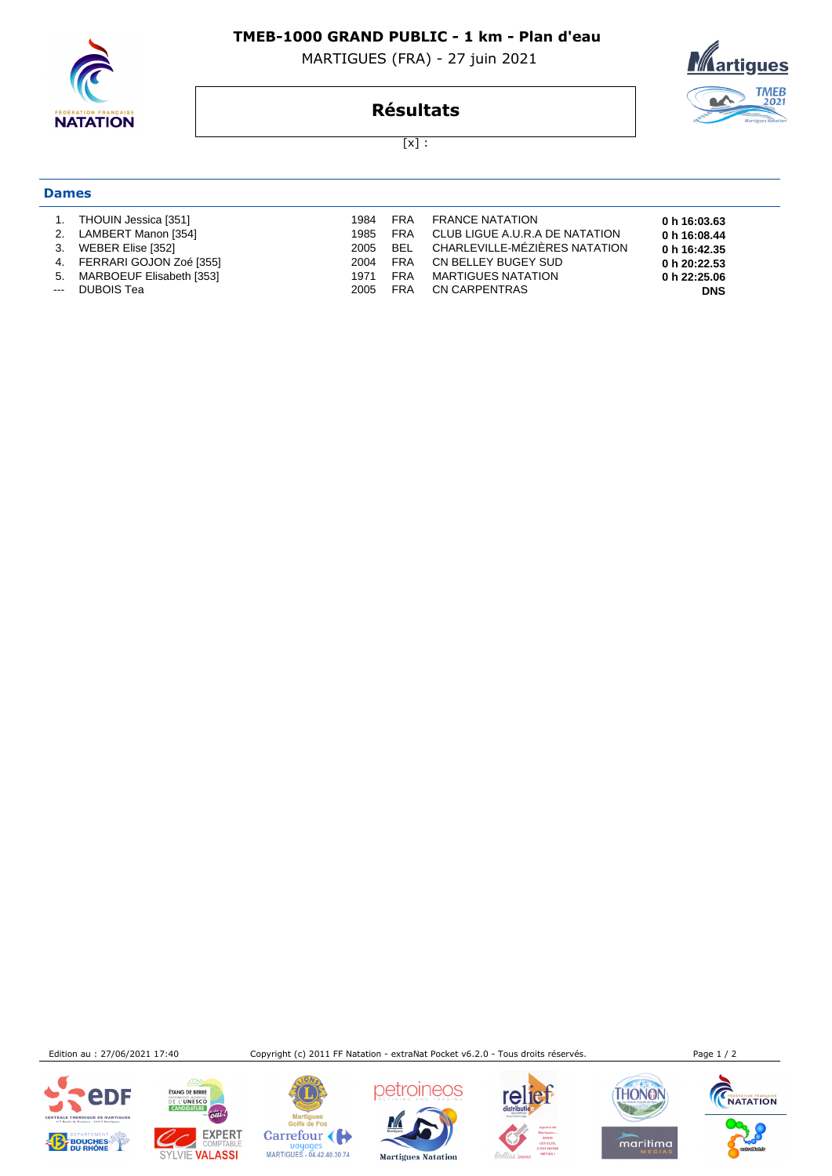

## **TMEB-1000 GRAND PUBLIC - 1 km - Plan d'eau**

MARTIGUES (FRA) - 27 juin 2021



**Résultats**

 $[x]$  :

## **Dames**

| 1.<br>3.<br>5.<br>$-$ | THOUIN Jessica [351]<br>2. LAMBERT Manon [354]<br>WEBER Elise [352]<br>4. FERRARI GOJON Zoé [355]<br>MARBOEUF Elisabeth [353]<br>DUBOIS Tea | 1984<br>1985<br>2005<br>2004<br>1971<br>2005 | FRA<br>FRA<br>BEL<br>FRA<br><b>FRA</b><br>FRA | <b>FRANCE NATATION</b><br>CLUB LIGUE A.U.R.A DE NATATION<br>CHARLEVILLE-MÉZIÈRES NATATION<br>CN BELLEY BUGEY SUD<br><b>MARTIGUES NATATION</b><br>CN CARPENTRAS | 0 h 16:03.63<br>0 h 16:08.44<br>0 h 16:42.35<br>0 h 20:22.53<br>0 h 22:25.06<br><b>DNS</b> |
|-----------------------|---------------------------------------------------------------------------------------------------------------------------------------------|----------------------------------------------|-----------------------------------------------|----------------------------------------------------------------------------------------------------------------------------------------------------------------|--------------------------------------------------------------------------------------------|
|-----------------------|---------------------------------------------------------------------------------------------------------------------------------------------|----------------------------------------------|-----------------------------------------------|----------------------------------------------------------------------------------------------------------------------------------------------------------------|--------------------------------------------------------------------------------------------|

Edition au : 27/06/2021 17:40 Copyright (c) 2011 FF Natation - extraNat Pocket v6.2.0 - Tous droits réservés. Page 1 / 2





**ETANG DE BERRE** 

Martigues<br>Golfe de Fos Carrefour Doyages<br>MARTIGUES - 04.42.40.30.74